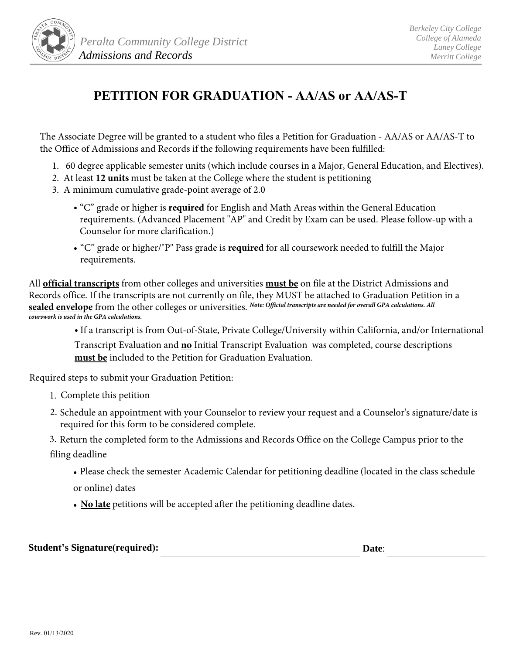

## **PETITION FOR GRADUATION - AA/AS or AA/AS-T**

The Associate Degree will be granted to a student who files a Petition for Graduation - AA/AS or AA/AS-T to the Office of Admissions and Records if the following requirements have been fulfilled:

- 1. 60 degree applicable semester units (which include courses in a Major, General Education, and Electives).
- 2. At least **12 units** must be taken at the College where the student is petitioning
- 3. A minimum cumulative grade-point average of 2.0
	- "C" grade or higher is **required** for English and Math Areas within the General Education requirements. (Advanced Placement "AP" and Credit by Exam can be used. Please follow-up with a Counselor for more clarification.)
	- "C" grade or higher/"P" Pass grade is **required** for all coursework needed to fulfill the Major requirements.

All **official transcripts** from other colleges and universities **must be** on file at the District Admissions and Records office. If the transcripts are not currently on file, they MUST be attached to Graduation Petition in a **sealed envelope** from the other colleges or universities. *Note: Official transcripts are needed for overall GPA calculations. All courswork is used in the GPA calculations.*

> • If a transcript is from Out-of-State, Private College/University within California, and/or International Transcript Evaluation and **no** Initial Transcript Evaluation was completed, course descriptions **must be** included to the Petition for Graduation Evaluation.

Required steps to submit your Graduation Petition:

- 1. Complete this petition
- 2. Schedule an appointment with your Counselor to review your request and a Counselor's signature/date is required for this form to be considered complete.

3. Return the completed form to the Admissions and Records Office on the College Campus prior to the filing deadline

- Please check the semester Academic Calendar for petitioning deadline (located in the class schedule or online) dates
- **No late** petitions will be accepted after the petitioning deadline dates.

**Student's Signature(required): Date**: